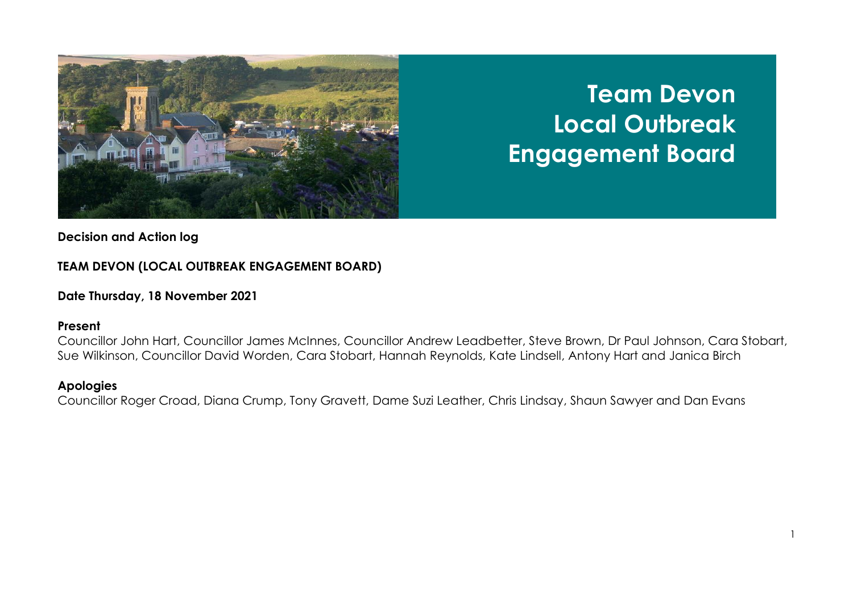

# **Team Devon Local Outbreak Engagement Board**

## **Decision and Action log**

## **TEAM DEVON (LOCAL OUTBREAK ENGAGEMENT BOARD)**

### **Date Thursday, 18 November 2021**

#### **Present**

Councillor John Hart, Councillor James McInnes, Councillor Andrew Leadbetter, Steve Brown, Dr Paul Johnson, Cara Stobart, Sue Wilkinson, Councillor David Worden, Cara Stobart, Hannah Reynolds, Kate Lindsell, Antony Hart and Janica Birch

### **Apologies**

Councillor Roger Croad, Diana Crump, Tony Gravett, Dame Suzi Leather, Chris Lindsay, Shaun Sawyer and Dan Evans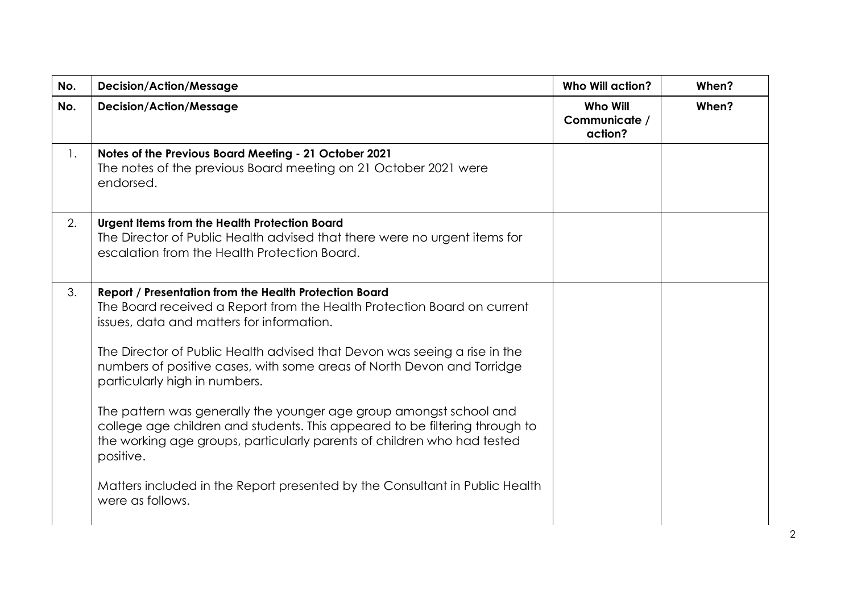| No.            | <b>Decision/Action/Message</b>                                                                                                                                                                                                                                                                                                                                                                                                                                                                                                                                                                                                                                                                                         | Who Will action?                            | When? |
|----------------|------------------------------------------------------------------------------------------------------------------------------------------------------------------------------------------------------------------------------------------------------------------------------------------------------------------------------------------------------------------------------------------------------------------------------------------------------------------------------------------------------------------------------------------------------------------------------------------------------------------------------------------------------------------------------------------------------------------------|---------------------------------------------|-------|
| No.            | <b>Decision/Action/Message</b>                                                                                                                                                                                                                                                                                                                                                                                                                                                                                                                                                                                                                                                                                         | <b>Who Will</b><br>Communicate /<br>action? | When? |
| $\mathbf{1}$ . | Notes of the Previous Board Meeting - 21 October 2021<br>The notes of the previous Board meeting on 21 October 2021 were<br>endorsed.                                                                                                                                                                                                                                                                                                                                                                                                                                                                                                                                                                                  |                                             |       |
| 2.             | Urgent Items from the Health Protection Board<br>The Director of Public Health advised that there were no urgent items for<br>escalation from the Health Protection Board.                                                                                                                                                                                                                                                                                                                                                                                                                                                                                                                                             |                                             |       |
| 3.             | Report / Presentation from the Health Protection Board<br>The Board received a Report from the Health Protection Board on current<br>issues, data and matters for information.<br>The Director of Public Health advised that Devon was seeing a rise in the<br>numbers of positive cases, with some areas of North Devon and Torridge<br>particularly high in numbers.<br>The pattern was generally the younger age group amongst school and<br>college age children and students. This appeared to be filtering through to<br>the working age groups, particularly parents of children who had tested<br>positive.<br>Matters included in the Report presented by the Consultant in Public Health<br>were as follows. |                                             |       |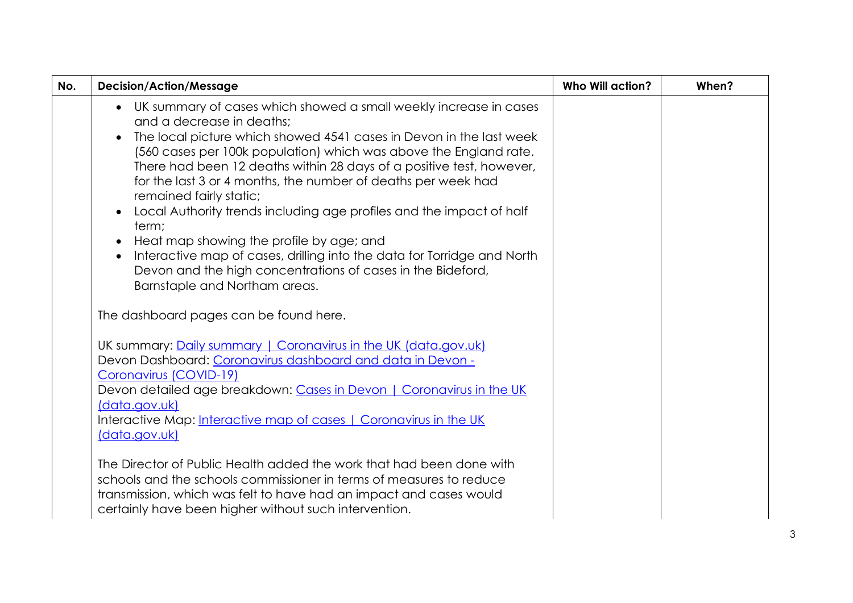| No. | <b>Decision/Action/Message</b>                                                                                                                                                                                                                                                                                                                                                                                                                                                                                                                                                                                                                                                                                           | <b>Who Will action?</b> | When? |
|-----|--------------------------------------------------------------------------------------------------------------------------------------------------------------------------------------------------------------------------------------------------------------------------------------------------------------------------------------------------------------------------------------------------------------------------------------------------------------------------------------------------------------------------------------------------------------------------------------------------------------------------------------------------------------------------------------------------------------------------|-------------------------|-------|
|     | • UK summary of cases which showed a small weekly increase in cases<br>and a decrease in deaths;<br>The local picture which showed 4541 cases in Devon in the last week<br>(560 cases per 100k population) which was above the England rate.<br>There had been 12 deaths within 28 days of a positive test, however,<br>for the last 3 or 4 months, the number of deaths per week had<br>remained fairly static;<br>Local Authority trends including age profiles and the impact of half<br>term;<br>Heat map showing the profile by age; and<br>Interactive map of cases, drilling into the data for Torridge and North<br>Devon and the high concentrations of cases in the Bideford,<br>Barnstaple and Northam areas. |                         |       |
|     | The dashboard pages can be found here.                                                                                                                                                                                                                                                                                                                                                                                                                                                                                                                                                                                                                                                                                   |                         |       |
|     | UK summary: Daily summary   Coronavirus in the UK (data.gov.uk)<br>Devon Dashboard: Coronavirus dashboard and data in Devon -<br>Coronavirus (COVID-19)<br>Devon detailed age breakdown: Cases in Devon   Coronavirus in the UK<br>(data.gov.uk)<br>Interactive Map: Interactive map of cases   Coronavirus in the UK<br>(data.gov.uk)                                                                                                                                                                                                                                                                                                                                                                                   |                         |       |
|     | The Director of Public Health added the work that had been done with<br>schools and the schools commissioner in terms of measures to reduce<br>transmission, which was felt to have had an impact and cases would<br>certainly have been higher without such intervention.                                                                                                                                                                                                                                                                                                                                                                                                                                               |                         |       |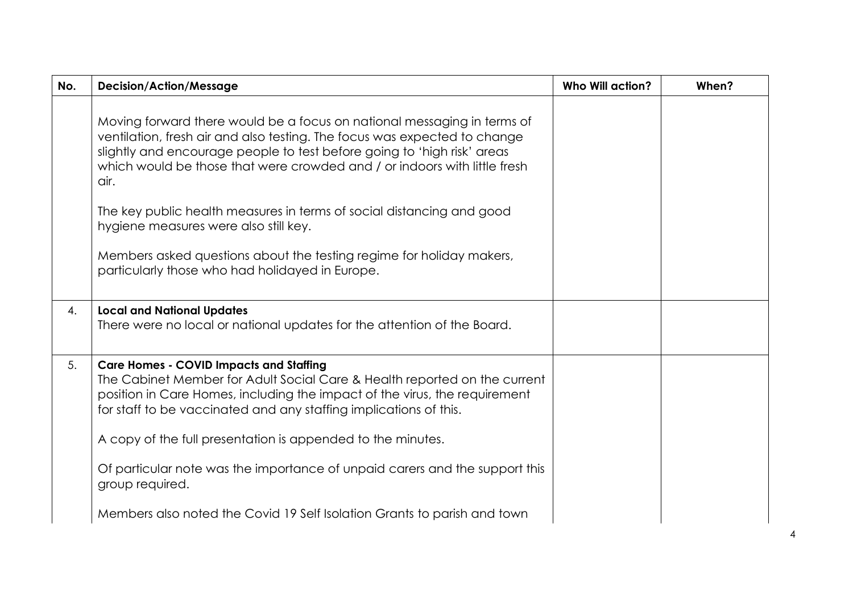| <b>Decision/Action/Message</b>                                                                                                                                                                                                                                                                                                                                                                                                                                                                                                                            | <b>Who Will action?</b> | When? |
|-----------------------------------------------------------------------------------------------------------------------------------------------------------------------------------------------------------------------------------------------------------------------------------------------------------------------------------------------------------------------------------------------------------------------------------------------------------------------------------------------------------------------------------------------------------|-------------------------|-------|
| Moving forward there would be a focus on national messaging in terms of<br>ventilation, fresh air and also testing. The focus was expected to change<br>slightly and encourage people to test before going to 'high risk' areas<br>which would be those that were crowded and / or indoors with little fresh<br>The key public health measures in terms of social distancing and good<br>hygiene measures were also still key.<br>Members asked questions about the testing regime for holiday makers,<br>particularly those who had holidayed in Europe. |                         |       |
| <b>Local and National Updates</b><br>There were no local or national updates for the attention of the Board.                                                                                                                                                                                                                                                                                                                                                                                                                                              |                         |       |
| <b>Care Homes - COVID Impacts and Staffing</b><br>The Cabinet Member for Adult Social Care & Health reported on the current<br>position in Care Homes, including the impact of the virus, the requirement<br>for staff to be vaccinated and any staffing implications of this.<br>A copy of the full presentation is appended to the minutes.<br>Of particular note was the importance of unpaid carers and the support this<br>group required.                                                                                                           |                         |       |
|                                                                                                                                                                                                                                                                                                                                                                                                                                                                                                                                                           |                         |       |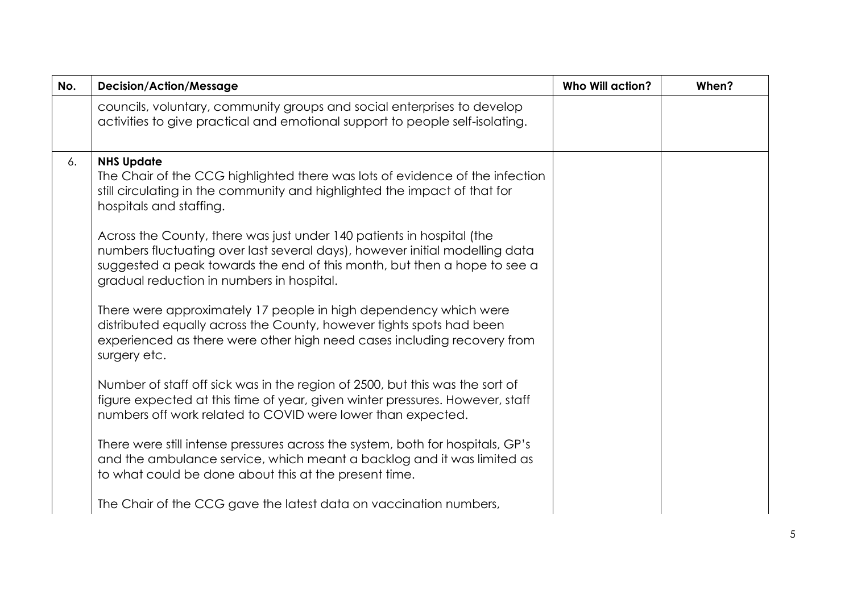| No. | <b>Decision/Action/Message</b>                                                                                                                                                                                                                                                | <b>Who Will action?</b> | When? |
|-----|-------------------------------------------------------------------------------------------------------------------------------------------------------------------------------------------------------------------------------------------------------------------------------|-------------------------|-------|
|     | councils, voluntary, community groups and social enterprises to develop<br>activities to give practical and emotional support to people self-isolating.                                                                                                                       |                         |       |
| 6.  | <b>NHS Update</b><br>The Chair of the CCG highlighted there was lots of evidence of the infection<br>still circulating in the community and highlighted the impact of that for<br>hospitals and staffing.                                                                     |                         |       |
|     | Across the County, there was just under 140 patients in hospital (the<br>numbers fluctuating over last several days), however initial modelling data<br>suggested a peak towards the end of this month, but then a hope to see a<br>gradual reduction in numbers in hospital. |                         |       |
|     | There were approximately 17 people in high dependency which were<br>distributed equally across the County, however tights spots had been<br>experienced as there were other high need cases including recovery from<br>surgery etc.                                           |                         |       |
|     | Number of staff off sick was in the region of 2500, but this was the sort of<br>figure expected at this time of year, given winter pressures. However, staff<br>numbers off work related to COVID were lower than expected.                                                   |                         |       |
|     | There were still intense pressures across the system, both for hospitals, GP's<br>and the ambulance service, which meant a backlog and it was limited as<br>to what could be done about this at the present time.                                                             |                         |       |
|     | The Chair of the CCG gave the latest data on vaccination numbers,                                                                                                                                                                                                             |                         |       |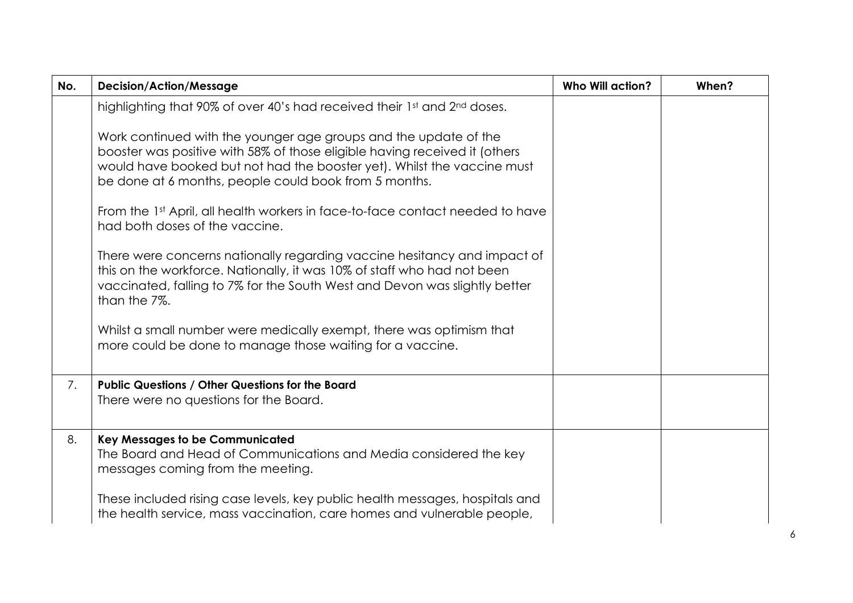| No. | <b>Decision/Action/Message</b>                                                                                                                                                                                                                    | <b>Who Will action?</b> | When? |
|-----|---------------------------------------------------------------------------------------------------------------------------------------------------------------------------------------------------------------------------------------------------|-------------------------|-------|
|     | highlighting that 90% of over 40's had received their 1st and 2nd doses.<br>Work continued with the younger age groups and the update of the                                                                                                      |                         |       |
|     | booster was positive with 58% of those eligible having received it (others<br>would have booked but not had the booster yet). Whilst the vaccine must<br>be done at 6 months, people could book from 5 months.                                    |                         |       |
|     | From the 1st April, all health workers in face-to-face contact needed to have<br>had both doses of the vaccine.                                                                                                                                   |                         |       |
|     | There were concerns nationally regarding vaccine hesitancy and impact of<br>this on the workforce. Nationally, it was 10% of staff who had not been<br>vaccinated, falling to 7% for the South West and Devon was slightly better<br>than the 7%. |                         |       |
|     | Whilst a small number were medically exempt, there was optimism that<br>more could be done to manage those waiting for a vaccine.                                                                                                                 |                         |       |
| 7.  | Public Questions / Other Questions for the Board<br>There were no questions for the Board.                                                                                                                                                        |                         |       |
| 8.  | <b>Key Messages to be Communicated</b><br>The Board and Head of Communications and Media considered the key<br>messages coming from the meeting.                                                                                                  |                         |       |
|     | These included rising case levels, key public health messages, hospitals and<br>the health service, mass vaccination, care homes and vulnerable people,                                                                                           |                         |       |